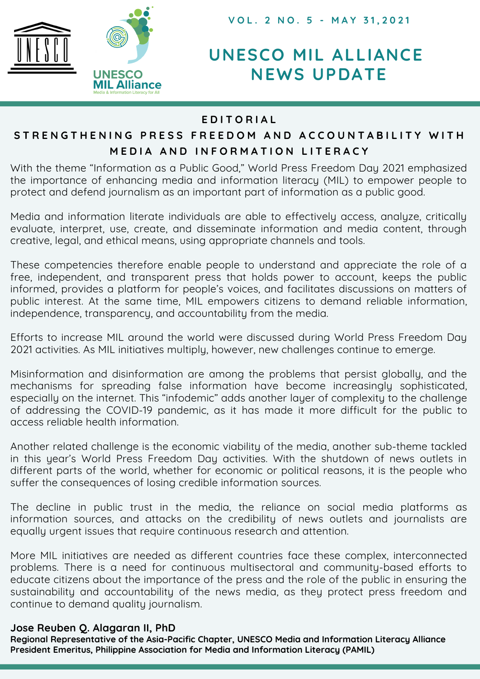

**V O L . 2 N O . 5 - M A Y 3 1 , 2 0 2 1**

# **UNESCO MIL ALLIANCE NEWS UPDATE**

### **E D I T O R I A L**

# STRENGTHENING PRESS FREEDOM AND ACCOUNTABILITY WITH MEDIA AND INFORMATION LITERACY

With the theme "Information as a Public Good," World Press Freedom Day 2021 emphasized the importance of enhancing media and information literacy (MIL) to empower people to protect and defend journalism as an important part of information as a public good.

Media and information literate individuals are able to effectively access, analyze, critically evaluate, interpret, use, create, and disseminate information and media content, through creative, legal, and ethical means, using appropriate channels and tools.

These competencies therefore enable people to understand and appreciate the role of a free, independent, and transparent press that holds power to account, keeps the public informed, provides a platform for people's voices, and facilitates discussions on matters of public interest. At the same time, MIL empowers citizens to demand reliable information, independence, transparency, and accountability from the media.

Efforts to increase MIL around the world were discussed during World Press Freedom Day 2021 activities. As MIL initiatives multiply, however, new challenges continue to emerge.

Misinformation and disinformation are among the problems that persist globally, and the mechanisms for spreading false information have become increasingly sophisticated, especially on the internet. This "infodemic" adds another layer of complexity to the challenge of addressing the COVID-19 pandemic, as it has made it more difficult for the public to access reliable health information.

Another related challenge is the economic viability of the media, another sub-theme tackled in this year's World Press Freedom Day activities. With the shutdown of news outlets in different parts of the world, whether for economic or political reasons, it is the people who suffer the consequences of losing credible information sources.

The decline in public trust in the media, the reliance on social media platforms as information sources, and attacks on the credibility of news outlets and journalists are equally urgent issues that require continuous research and attention.

More MIL initiatives are needed as different countries face these complex, interconnected problems. There is a need for continuous multisectoral and community-based efforts to educate citizens about the importance of the press and the role of the public in ensuring the sustainability and accountability of the news media, as they protect press freedom and continue to demand quality journalism.

#### **Jose Reuben Q. Alagaran II, PhD**

**Regional Representative of the Asia-Pacific Chapter, UNESCO Media and Information Literacy Alliance President Emeritus, Philippine Association for Media and Information Literacy (PAMIL)**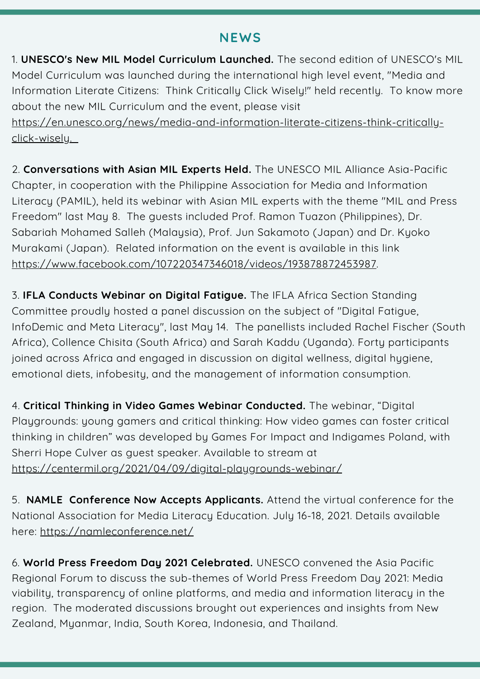## **NEWS**

1. **UNESCO's New MIL Model Curriculum Launched.** The second edition of UNESCO's MIL Model Curriculum was launched during the international high level event, "Media and Information Literate Citizens: Think Critically Click Wisely!" held recently. To know more about the new MIL Curriculum and the event, please visit

[https://en.unesco.org/news/media-and-information-literate-citizens-think-critically](https://en.unesco.org/news/media-and-information-literate-citizens-think-critically-click-wisely)click-wisely.

2. **Conversations with Asian MIL Experts Held.** The UNESCO MIL Alliance Asia-Pacific Chapter, in cooperation with the Philippine Association for Media and Information Literacy (PAMIL), held its webinar with Asian MIL experts with the theme "MIL and Press Freedom" last May 8. The guests included Prof. Ramon Tuazon (Philippines), Dr. Sabariah Mohamed Salleh (Malaysia), Prof. Jun Sakamoto (Japan) and Dr. Kyoko Murakami (Japan). Related information on the event is available in this link <https://www.facebook.com/107220347346018/videos/193878872453987>.

3. **IFLA Conducts Webinar on Digital Fatigue.** The IFLA Africa Section Standing Committee proudly hosted a panel discussion on the subject of "Digital Fatigue, InfoDemic and Meta Literacy", last May 14. The panellists included Rachel Fischer (South Africa), Collence Chisita (South Africa) and Sarah Kaddu (Uganda). Forty participants joined across Africa and engaged in discussion on digital wellness, digital hygiene, emotional diets, infobesity, and the management of information consumption.

4. **Critical Thinking in Video Games Webinar Conducted.** The webinar, "Digital Playgrounds: young gamers and critical thinking: How video games can foster critical thinking in children" was developed by Games For Impact and Indigames Poland, with Sherri Hope Culver as guest speaker. Available to stream at <https://centermil.org/2021/04/09/digital-playgrounds-webinar/>

5. **NAMLE Conference Now Accepts Applicants.** Attend the virtual conference for the National Association for Media Literacy Education. July 16-18, 2021. Details available here: <https://namleconference.net/>

6. **World Press Freedom Day 2021 Celebrated.** UNESCO convened the Asia Pacific Regional Forum to discuss the sub-themes of World Press Freedom Day 2021: Media viability, transparency of online platforms, and media and information literacy in the region. The moderated discussions brought out experiences and insights from New Zealand, Myanmar, India, South Korea, Indonesia, and Thailand.